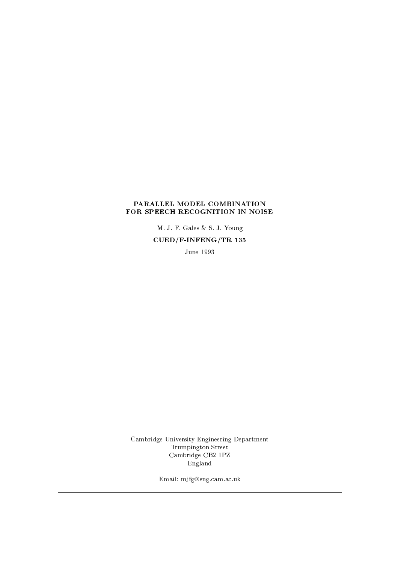### PARALLEL MODEL COMBINATION FOR SPEECH RECOGNITION IN NOISE

M. J. F. Gales & S. J. Young  $CUED/F-INFERG/TR$  135

June 1993

Cambridge University Engineering Department  $\begin{minipage}{.4\linewidth} \textbf{Trumpington Street} \end{minipage} \vspace{-0.03in}$ Cambridge CB2 1PZ England

Email: mjfg@eng.cam.ac.uk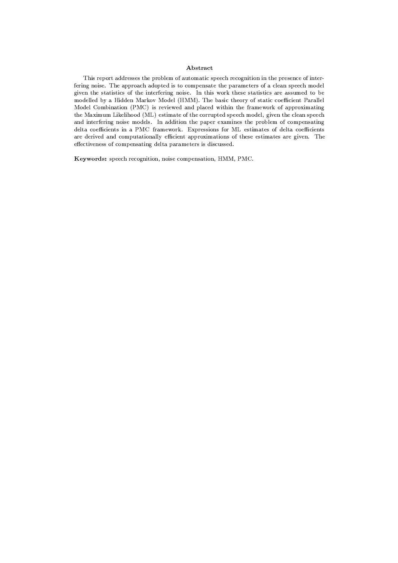### Abstract

This report addresses the problem of automatic speech recognition in the presence of interfering noise. The approach adopted is to compensate the parameters of a clean speech model given the statistics of the interfering noise. In this work these statistics are assumed to be modelled by a Hidden Markov Model (HMM). The basic theory of static coefficient Parallel Model Combination (PMC) is reviewed and placed within the framework of approximating the Maximum Likelihood (ML) estimate of the corrupted speech model, given the clean speech and interfering noise models. In addition the paper examines the problem of compensating delta coefficients in a PMC framework. Expressions for ML estimates of delta coefficients are derived and computationally efficient approximations of these estimates are given. The effectiveness of compensating delta parameters is discussed.

Keywords: speech recognition, noise compensation, HMM, PMC.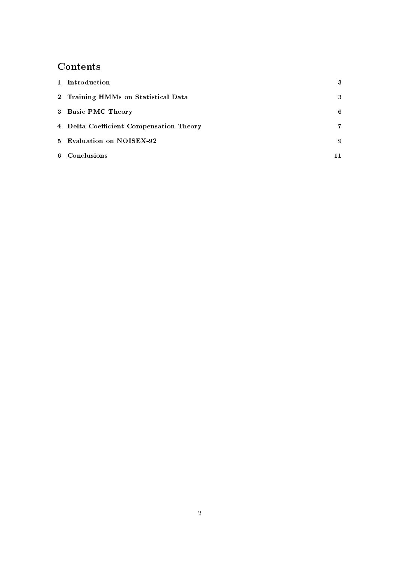# Contents

| 1 Introduction                          | 3  |
|-----------------------------------------|----|
| 2 Training HMMs on Statistical Data     | 3  |
| 3 Basic PMC Theory                      | 6  |
| 4 Delta Coefficient Compensation Theory | 7. |
| 5 Evaluation on NOISEX-92               | 9  |
| 6 Conclusions                           |    |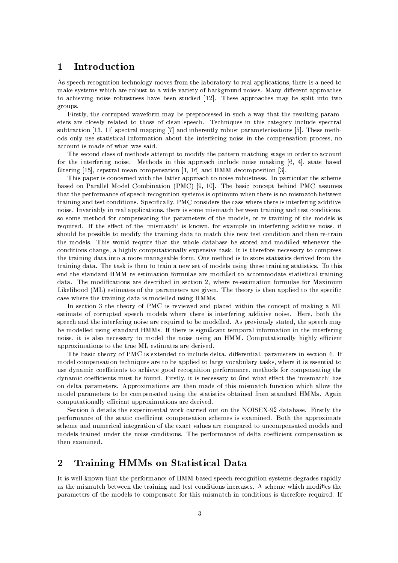#### Introduction  $\mathbf{1}$

As speech recognition technology moves from the laboratory to real applications, there is a need to make systems which are robust to a wide variety of background noises. Many different approaches to achieving noise robustness have been studied [12]. These approaches may be split into two groups.

Firstly, the corrupted waveform may be preprocessed in such a way that the resulting parameters are closely related to those of clean speech. Techniques in this category include spectral subtraction [13, 11] spectral mapping [7] and inherently robust parameterisations [5]. These methods only use statistical information about the interfering noise in the compensation process, no account is made of what was said.

The second class of methods attempt to modify the pattern matching stage in order to account for the interfering noise. Methods in this approach include noise masking  $[6, 4]$ , state based filtering [15], cepstral mean compensation [1, 16] and HMM decomposition [3].

This paper is concerned with the latter approach to noise robustness. In particular the scheme based on Parallel Model Combination (PMC) [9, 10]. The basic concept behind PMC assumes that the performance of speech recognition systems is optimum when there is no mismatch between training and test conditions. Specifically, PMC considers the case where there is interfering additive noise. Invariably in real applications, there is some mismatch between training and test conditions, so some method for compensating the parameters of the models, or re-training of the models is required. If the effect of the 'mismatch' is known, for example in interfering additive noise, it should be possible to modify the training data to match this new test condition and then re-train the models. This would require that the whole database be stored and modified whenever the conditions change, a highly computationally expensive task. It is therefore necessary to compress the training data into a more manageable form. One method is to store statistics derived from the training data. The task is then to train a new set of models using these training statistics. To this end the standard HMM re-estimation formulae are modified to accommodate statistical training data. The modifications are described in section 2, where re-estimation formulae for Maximum Likelihood (ML) estimates of the parameters are given. The theory is then applied to the specific case where the training data is modelled using HMMs.

In section 3 the theory of PMC is reviewed and placed within the concept of making a ML estimate of corrupted speech models where there is interfering additive noise. Here, both the speech and the interfering noise are required to be modelled. As previously stated, the speech may be modelled using standard HMMs. If there is significant temporal information in the interfering noise, it is also necessary to model the noise using an HMM. Computationally highly efficient approximations to the true ML estimates are derived.

The basic theory of PMC is extended to include delta, differential, parameters in section 4. If model compensation techniques are to be applied to large vocabulary tasks, where it is essential to use dynamic coefficients to achieve good recognition performance, methods for compensating the dynamic coefficients must be found. Firstly, it is necessary to find what effect the 'mismatch' has on delta parameters. Approximations are then made of this mismatch function which allow the model parameters to be compensated using the statistics obtained from standard HMMs. Again computationally efficient approximations are derived.

Section 5 details the experimental work carried out on the NOISEX-92 database. Firstly the performance of the static coefficient compensation schemes is examined. Both the approximate scheme and numerical integration of the exact values are compared to uncompensated models and models trained under the noise conditions. The performance of delta coefficient compensation is then examined.

#### Training HMMs on Statistical Data  $\overline{2}$

It is well known that the performance of HMM based speech recognition systems degrades rapidly as the mismatch between the training and test conditions increases. A scheme which modifies the parameters of the models to compensate for this mismatch in conditions is therefore required. If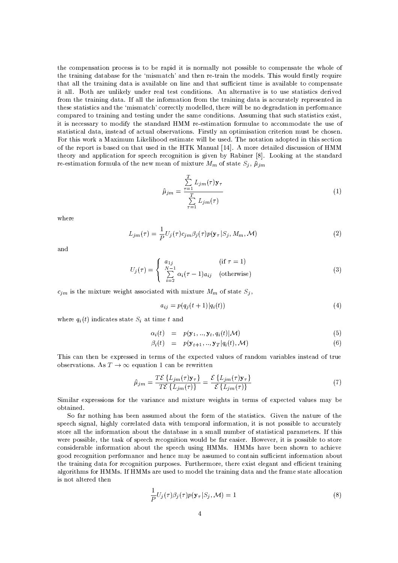the compensation process is to be rapid it is normally not possible to compensate the whole of the training database for the 'mismatch' and then re-train the models. This would firstly require that all the training data is available on line and that sufficient time is available to compensate it all. Both are unlikely under real test conditions. An alternative is to use statistics derived from the training data. If all the information from the training data is accurately represented in these statistics and the 'mismatch' correctly modelled, there will be no degradation in performance compared to training and testing under the same conditions. Assuming that such statistics exist, it is necessary to modify the standard HMM re-estimation formulae to accommodate the use of statistical data, instead of actual observations. Firstly an optimisation criterion must be chosen. For this work a Maximum Likelihood estimate will be used. The notation adopted in this section of the report is based on that used in the HTK Manual [14]. A more detailed discussion of HMM theory and application for speech recognition is given by Rabiner [8]. Looking at the standard re-estimation formula of the new mean of mixture  $M_m$  of state  $S_j$ ,  $\hat{\mu}_{jm}$ 

$$
\hat{\mu}_{jm} = \frac{\sum_{\tau=1}^{T} L_{jm}(\tau) \mathbf{y}_{\tau}}{\sum_{\tau=1}^{T} L_{jm}(\tau)}
$$
\n(1)

where

$$
L_{jm}(\tau) = \frac{1}{P} U_j(\tau) c_{jm} \beta_j(\tau) p(\mathbf{y}_{\tau} | S_j, M_m, \mathcal{M})
$$
\n(2)

and

$$
U_j(\tau) = \begin{cases} a_{1j} & (\text{if } \tau = 1) \\ \sum_{i=2}^{N-1} \alpha_i(\tau - 1) a_{ij} & (\text{otherwise}) \end{cases}
$$
(3)

 $c_{jm}$  is the mixture weight associated with mixture  $M_m$  of state  $S_j$ ,

$$
a_{ij} = p(q_j(t+1)|q_i(t))
$$
\n(4)

where  $q_i(t)$  indicates state  $S_i$  at time t and

$$
\alpha_i(t) = p(\mathbf{y}_1, ..., \mathbf{y}_t, q_i(t)|\mathcal{M}) \tag{5}
$$

$$
\beta_i(t) = p(\mathbf{y}_{t+1}, \dots, \mathbf{y}_T | q_i(t), \mathcal{M}) \tag{6}
$$

This can then be expressed in terms of the expected values of random variables instead of true observations. As  $T \to \infty$  equation 1 can be rewritten

$$
\hat{\mu}_{jm} = \frac{T\mathcal{E}\left\{L_{jm}(\tau)\mathbf{y}_{\tau}\right\}}{T\mathcal{E}\left\{L_{jm}(\tau)\right\}} = \frac{\mathcal{E}\left\{L_{jm}(\tau)\mathbf{y}_{\tau}\right\}}{\mathcal{E}\left\{L_{jm}(\tau)\right\}}
$$
\n(7)

Similar expressions for the variance and mixture weights in terms of expected values may be obtained.

So far nothing has been assumed about the form of the statistics. Given the nature of the speech signal, highly correlated data with temporal information, it is not possible to accurately store all the information about the database in a small number of statistical parameters. If this were possible, the task of speech recognition would be far easier. However, it is possible to store considerable information about the speech using HMMs. HMMs have been shown to achieve good recognition performance and hence may be assumed to contain sufficient information about the training data for recognition purposes. Furthermore, there exist elegant and efficient training algorithms for HMMs. If HMMs are used to model the training data and the frame state allocation is not altered then

$$
\frac{1}{P}U_j(\tau)\beta_j(\tau)p(\mathbf{y}_{\tau}|S_j,\mathcal{M})=1
$$
\n(8)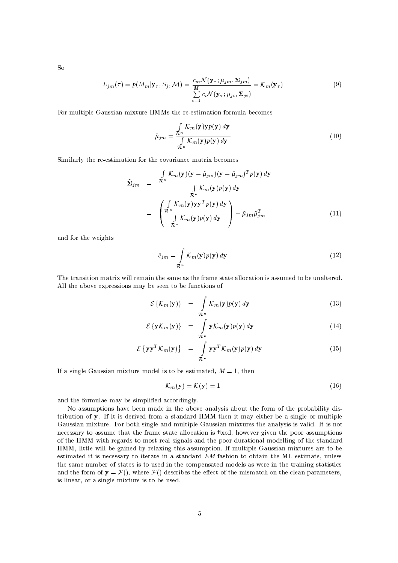$So$ 

$$
L_{jm}(\tau) = p(M_m | \mathbf{y}_{\tau}, S_j, \mathcal{M}) = \frac{c_m \mathcal{N}(\mathbf{y}_{\tau}; \mu_{jm}, \Sigma_{jm})}{\sum\limits_{i=1}^M c_i \mathcal{N}(\mathbf{y}_{\tau}; \mu_{ji}, \Sigma_{ji})} = \mathcal{K}_m(\mathbf{y}_{\tau})
$$
(9)

For multiple Gaussian mixture HMMs the re-estimation formula becomes

$$
\hat{\mu}_{jm} = \frac{\int\limits_{\mathcal{R}^n} \mathcal{K}_m(\mathbf{y}) \mathbf{y} p(\mathbf{y}) \, d\mathbf{y}}{\int\limits_{\mathcal{R}^n} \mathcal{K}_m(\mathbf{y}) p(\mathbf{y}) \, d\mathbf{y}} \tag{10}
$$

Similarly the re-estimation for the covariance matrix becomes

$$
\hat{\Sigma}_{jm} = \frac{\int_{\mathcal{R}^n} \mathcal{K}_m(\mathbf{y})(\mathbf{y} - \hat{\mu}_{jm})(\mathbf{y} - \hat{\mu}_{jm})^T p(\mathbf{y}) d\mathbf{y}}{\int_{\mathcal{R}^n} \mathcal{K}_m(\mathbf{y}) p(\mathbf{y}) d\mathbf{y}} \n= \left( \frac{\int_{\mathcal{R}^n} \mathcal{K}_m(\mathbf{y}) \mathbf{y} \mathbf{y}^T p(\mathbf{y}) d\mathbf{y}}{\int_{\mathcal{R}^n} \mathcal{K}_m(\mathbf{y}) p(\mathbf{y}) d\mathbf{y}} \right) - \hat{\mu}_{jm} \hat{\mu}_{jm}^T
$$
\n(11)

and for the weights

$$
\hat{c}_{jm} = \int_{\mathcal{R}^n} \mathcal{K}_m(\mathbf{y}) p(\mathbf{y}) \, d\mathbf{y}
$$
\n(12)

The transition matrix will remain the same as the frame state allocation is assumed to be unaltered. All the above expressions may be seen to be functions of

$$
\mathcal{E}\left\{\mathcal{K}_m(\mathbf{y})\right\} = \int_{\mathcal{R}^n} \mathcal{K}_m(\mathbf{y}) p(\mathbf{y}) \, d\mathbf{y} \tag{13}
$$

$$
\mathcal{E}\left\{\mathbf{y}\mathcal{K}_{m}(\mathbf{y})\right\} = \int_{\mathcal{R}^{n}} \mathbf{y}\mathcal{K}_{m}(\mathbf{y})p(\mathbf{y}) d\mathbf{y}
$$
\n(14)

$$
\mathcal{E}\left\{\mathbf{y}\mathbf{y}^T\mathcal{K}_m(\mathbf{y})\right\} = \int_{\mathcal{R}^n} \mathbf{y}\mathbf{y}^T\mathcal{K}_m(\mathbf{y})p(\mathbf{y}) d\mathbf{y}
$$
(15)

If a single Gaussian mixture model is to be estimated,  $M = 1$ , then

$$
\mathcal{K}_m(\mathbf{y}) = \mathcal{K}(\mathbf{y}) = 1\tag{16}
$$

and the formulae may be simplified accordingly.

No assumptions have been made in the above analysis about the form of the probability distribution of y. If it is derived from a standard HMM then it may either be a single or multiple Gaussian mixture. For both single and multiple Gaussian mixtures the analysis is valid. It is not necessary to assume that the frame state allocation is fixed, however given the poor assumptions of the HMM with regards to most real signals and the poor durational modelling of the standard HMM, little will be gained by relaxing this assumption. If multiple Gaussian mixtures are to be estimated it is necessary to iterate in a standard EM fashion to obtain the ML estimate, unless the same number of states is to used in the compensated models as were in the training statistics and the form of  $y = \mathcal{F}()$ , where  $\mathcal{F}()$  describes the effect of the mismatch on the clean parameters, is linear, or a single mixture is to be used.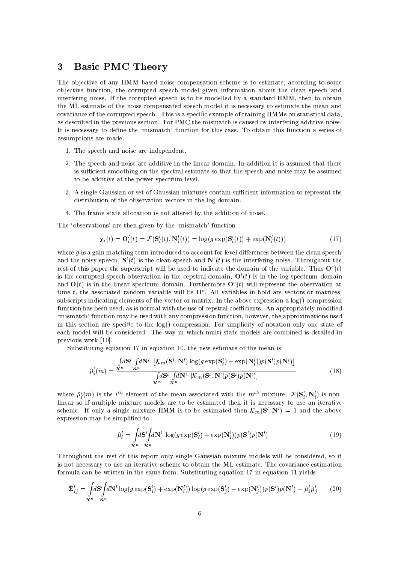#### **Basic PMC Theory** 3

The objective of any HMM based noise compensation scheme is to estimate, according to some objective function, the corrupted speech model given information about the clean speech and interfering noise. If the corrupted speech is to be modelled by a standard HMM, then to obtain the ML estimate of the noise compensated speech model it is necessary to estimate the mean and covariance of the corrupted speech. This is a specific example of training HMMs on statistical data. as described in the previous section. For PMC the mismatch is caused by interfering additive noise. It is necessary to define the 'mismatch' function for this case. To obtain this function a series of assumptions are made.

- 1. The speech and noise are independent.
- 2. The speech and noise are additive in the linear domain. In addition it is assumed that there is sufficient smoothing on the spectral estimate so that the speech and noise may be assumed to be additive at the power spectrum level.
- 3. A single Gaussian or set of Gaussian mixtures contain sufficient information to represent the distribution of the observation vectors in the log domain.
- 4. The frame state allocation is not altered by the addition of noise.

The 'observations' are then given by the 'mismatch' function

$$
\mathbf{y}_i(t) = \mathbf{O}_i^l(t) = \mathcal{F}(\mathbf{S}_i^l(t), \mathbf{N}_i^l(t)) = \log(g \exp(\mathbf{S}_i^l(t)) + \exp(\mathbf{N}_i^l(t)))
$$
\n(17)

where  $g$  is a gain matching term introduced to account for level differences between the clean speech and the noisy speech,  $S^{l}(t)$  is the clean speech and  $N^{l}(t)$  is the interfering noise. Throughout the rest of this paper the superscript will be used to indicate the domain of the variable. Thus  $O<sup>c</sup>(t)$ is the corrupted speech observation in the cepstral domain,  $O^{l}(t)$  is in the log spectrum domain and  $O(t)$  is in the linear spectrum domain. Furthermore  $O^{c}(t)$  will represent the observation at time t, the associated random variable will be  $O<sup>c</sup>$ . All variables in bold are vectors or matrices, subscripts indicating elements of the vector or matrix. In the above expression a  $log()$  compression function has been used, as is normal with the use of cepstral coefficients. An appropriately modified 'mismatch' function may be used with any compression function, however, the approximations used in this section are specific to the  $log()$  compression. For simplicity of notation only one state of each model will be considered. The way in which multi-state models are combined is detailed in previous work [10].

Substituting equation 17 in equation 10, the new estimate of the mean is

$$
\hat{\mu}_i^l(m) = \frac{\int d\mathbf{S}^l \int d\mathbf{N}^l \left[ \mathcal{K}_m(\mathbf{S}^l, \mathbf{N}^l) \log(g \exp(\mathbf{S}_i^l) + \exp(\mathbf{N}_i^l)) p(\mathbf{S}^l) p(\mathbf{N}^l) \right]}{\int d\mathbf{S}^l \int d\mathbf{N}^l \left[ \mathcal{K}_m(\mathbf{S}^l, \mathbf{N}^l) p(\mathbf{S}^l) p(\mathbf{N}^l) \right]}
$$
(18)

where  $\hat{\mu}_{i}^{l}(m)$  is the *i*<sup>th</sup> element of the mean associated with the  $m^{th}$  mixture.  $\mathcal{F}(\mathbf{S}_{i}^{l},\mathbf{N}_{i}^{l})$  is nonlinear so if multiple mixture models are to be estimated then it is necessary to use an iterative scheme. If only a single mixture HMM is to be estimated then  $\mathcal{K}_m(\mathbf{S}^l, \mathbf{N}^l) = 1$  and the above expression may be simplified to

$$
\hat{\mu}_i^l = \int_{\mathcal{R}^n} d\mathbf{S}^l \int d\mathbf{N}^l \, \log(g \exp(\mathbf{S}_i^l) + \exp(\mathbf{N}_i^l)) p(\mathbf{S}^l) p(\mathbf{N}^l)
$$
\n(19)

Throughout the rest of this report only single Gaussian mixture models will be considered, so it is not necessary to use an iterative scheme to obtain the ML estimate. The covariance estimation formula can be written in the same form. Substituting equation 17 in equation 11 yields

$$
\hat{\Sigma}_{ij}^l = \int_{\mathcal{R}^n} d\mathbf{S}^l \int d\mathbf{N}^l \log(g \exp(\mathbf{S}_i^l) + \exp(\mathbf{N}_i^l)) \log(g \exp(\mathbf{S}_j^l) + \exp(\mathbf{N}_j^l)) p(\mathbf{S}^l) p(\mathbf{N}^l) - \hat{\mu}_i^l \hat{\mu}_j^l \tag{20}
$$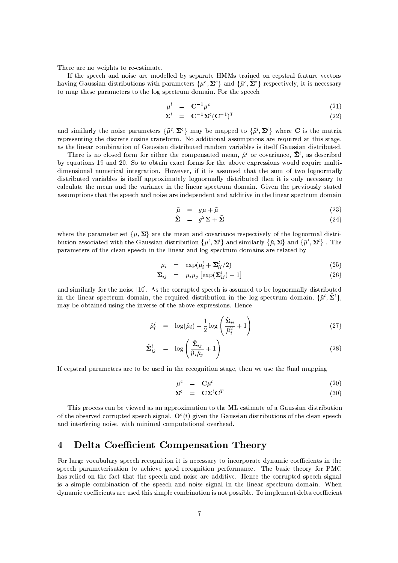There are no weights to re-estimate.

If the speech and noise are modelled by separate HMMs trained on cepstral feature vectors having Gaussian distributions with parameters  $\{\mu^c, \Sigma^c\}$  and  $\{\tilde{\mu}^c, \tilde{\Sigma}^c\}$  respectively, it is necessary to map these parameters to the log spectrum domain. For the speech

$$
\mu^l = \mathbf{C}^{-1} \mu^c \tag{21}
$$

$$
\Sigma^l = \mathbf{C}^{-1} \Sigma^c (\mathbf{C}^{-1})^T \tag{22}
$$

and similarly the noise parameters  $\{\tilde{\mu}^c, \tilde{\Sigma}^c\}$  may be mapped to  $\{\tilde{\mu}^l, \tilde{\Sigma}^l\}$  where C is the matrix representing the discrete cosine transform. No additional assumptions are required at this stage, as the linear combination of Gaussian distributed random variables is itself Gaussian distributed.

There is no closed form for either the compensated mean,  $\hat{\mu}^l$  or covariance,  $\hat{\Sigma}^l$ , as described by equations 19 and 20. So to obtain exact forms for the above expressions would require multidimensional numerical integration. However, if it is assumed that the sum of two lognormally distributed variables is itself approximately lognormally distributed then it is only necessary to calculate the mean and the variance in the linear spectrum domain. Given the previously stated assumptions that the speech and noise are independent and additive in the linear spectrum domain

$$
\hat{\mu} = g\mu + \tilde{\mu} \tag{23}
$$

$$
\hat{\Sigma} = g^2 \Sigma + \tilde{\Sigma} \tag{24}
$$

where the parameter set  $\{\mu, \Sigma\}$  are the mean and covariance respectively of the lognormal distribution associated with the Gaussian distribution  $\{\mu^l, \Sigma^l\}$  and similarly  $\{\tilde{\mu}, \tilde{\Sigma}\}$  and  $\{\tilde{\mu}^l, \tilde{\Sigma}^l\}$ . The parameters of the clean speech in the linear and log spectrum domains are related by

$$
\mu_i = \exp(\mu_i^l + \Sigma_{ii}^l/2) \tag{25}
$$

$$
\Sigma_{ij} = \mu_i \mu_j \left[ \exp(\Sigma_{ij}^l) - 1 \right] \tag{26}
$$

and similarly for the noise [10]. As the corrupted speech is assumed to be lognormally distributed in the linear spectrum domain, the required distribution in the log spectrum domain,  $\{\hat{\mu}^l, \hat{\Sigma}^l\}$ , may be obtained using the inverse of the above expressions. Hence

$$
\hat{\mu}_i^l = \log(\hat{\mu}_i) - \frac{1}{2} \log \left( \frac{\hat{\Sigma}_{ii}}{\hat{\mu}_i^2} + 1 \right) \tag{27}
$$

$$
\hat{\Sigma}_{ij}^{l} = \log \left( \frac{\hat{\Sigma}_{ij}}{\hat{\mu}_{i} \hat{\mu}_{j}} + 1 \right)
$$
\n(28)

If cepstral parameters are to be used in the recognition stage, then we use the final mapping

$$
\mu^c = \mathbf{C}\mu^l \tag{29}
$$

$$
\Sigma^c = \mathbf{C} \Sigma^l \mathbf{C}^T \tag{30}
$$

This process can be viewed as an approximation to the ML estimate of a Gaussian distribution of the observed corrupted speech signal,  $O<sup>c</sup>(t)$  given the Gaussian distributions of the clean speech and interfering noise, with minimal computational overhead.

#### **Delta Coefficient Compensation Theory**  $\overline{\mathbf{4}}$

For large vocabulary speech recognition it is necessary to incorporate dynamic coefficients in the speech parameterisation to achieve good recognition performance. The basic theory for PMC has relied on the fact that the speech and noise are additive. Hence the corrupted speech signal is a simple combination of the speech and noise signal in the linear spectrum domain. When dynamic coefficients are used this simple combination is not possible. To implement delta coefficient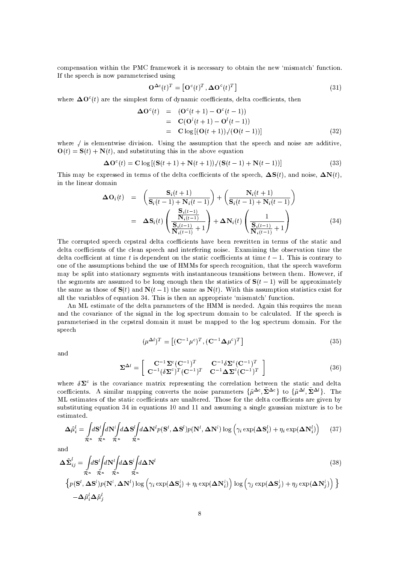compensation within the PMC framework it is necessary to obtain the new 'mismatch' function. If the speech is now parameterised using

$$
\mathbf{O}^{\Delta c}(t)^{T} = \left[\mathbf{O}^{c}(t)^{T}, \mathbf{\Delta O}^{c}(t)^{T}\right]
$$
\n(31)

where  $\Delta O^{c}(t)$  are the simplest form of dynamic coefficients, delta coefficients, then

$$
\begin{array}{rcl}\n\mathbf{\Delta O}^c(t) & = & (\mathbf{O}^c(t+1) - \mathbf{O}^c(t-1)) \\
& = & \mathbf{C(\mathbf{O}^l(t+1) - \mathbf{O}^l(t-1))} \\
& = & \mathbf{C \log\left[ (\mathbf{O}(t+1)) / (\mathbf{O}(t-1)) \right]} \n\end{array} \tag{32}
$$

where / is elementwise division. Using the assumption that the speech and noise are additive.  $\mathbf{O}(t) = \mathbf{S}(t) + \mathbf{N}(t)$ , and substituting this in the above equation

$$
\Delta \mathbf{O}^c(t) = \mathbf{C} \log \left[ \left( \mathbf{S}(t+1) + \mathbf{N}(t+1) \right) / \left( \mathbf{S}(t-1) + \mathbf{N}(t-1) \right) \right] \tag{33}
$$

This may be expressed in terms of the delta coefficients of the speech.  $\Delta S(t)$ , and noise,  $\Delta N(t)$ . in the linear domain

$$
\Delta \mathbf{O}_{i}(t) = \left(\frac{\mathbf{S}_{i}(t+1)}{\mathbf{S}_{i}(t-1) + \mathbf{N}_{i}(t-1)}\right) + \left(\frac{\mathbf{N}_{i}(t+1)}{\mathbf{S}_{i}(t-1) + \mathbf{N}_{i}(t-1)}\right)
$$

$$
= \Delta \mathbf{S}_{i}(t) \left(\frac{\mathbf{S}_{i}(t-1)}{\mathbf{N}_{i}(t-1)}\right) + \Delta \mathbf{N}_{i}(t) \left(\frac{1}{\mathbf{S}_{i}(t-1)} + 1\right)
$$
(34)

The corrupted speech cepstral delta coefficients have been rewritten in terms of the static and delta coefficients of the clean speech and interfering noise. Examining the observation time the delta coefficient at time t is dependent on the static coefficients at time  $t-1$ . This is contrary to one of the assumptions behind the use of HMMs for speech recognition, that the speech waveform may be split into stationary segments with instantaneous transitions between them. However, if the segments are assumed to be long enough then the statistics of  $S(t-1)$  will be approximately the same as those of  $S(t)$  and  $N(t-1)$  the same as  $N(t)$ . With this assumption statistics exist for all the variables of equation 34. This is then an appropriate 'mismatch' function.

An ML estimate of the delta parameters of the HMM is needed. Again this requires the mean and the covariance of the signal in the log spectrum domain to be calculated. If the speech is parameterised in the cepstral domain it must be mapped to the log spectrum domain. For the speech

$$
(\mu^{\Delta l})^T = \left[ (\mathbf{C}^{-1} \mu^c)^T, (\mathbf{C}^{-1} \Delta \mu^c)^T \right] \tag{35}
$$

and

$$
\Sigma^{\Delta l} = \begin{bmatrix} \mathbf{C}^{-1} \Sigma^c (\mathbf{C}^{-1})^T & \mathbf{C}^{-1} \delta \Sigma^c (\mathbf{C}^{-1})^T \\ \mathbf{C}^{-1} (\delta \Sigma^c)^T (\mathbf{C}^{-1})^T & \mathbf{C}^{-1} \mathbf{\Delta} \Sigma^c (\mathbf{C}^{-1})^T \end{bmatrix}
$$
(36)

where  $\delta\Sigma^c$  is the covariance matrix representing the correlation between the static and delta coefficients. A similar mapping converts the noise parameters  $\{\tilde{\mu}^{\Delta c}, \tilde{\Sigma}^{\Delta c}\}\;$  to  $\{\tilde{\mu}^{\Delta l}, \tilde{\Sigma}^{\Delta l}\}\;$ . The ML estimates of the static coefficients are unaltered. Those for the delta coefficients are given by substituting equation 34 in equations 10 and 11 and assuming a single gaussian mixture is to be estimated.

$$
\Delta \hat{\mu}_i^l = \int_{\mathcal{R}^n} d\mathbf{S}^l \int d\mathbf{N}^l \int d\mathbf{\Delta} \mathbf{S}^l \int d\mathbf{\Delta} \mathbf{N}^l p(\mathbf{S}^l, \mathbf{\Delta} \mathbf{S}^l) p(\mathbf{N}^l, \mathbf{\Delta} \mathbf{N}^l) \log \left( \gamma_i \exp(\mathbf{\Delta} \mathbf{S}_i^l) + \eta_i \exp(\mathbf{\Delta} \mathbf{N}_i^l) \right) \tag{37}
$$

and

$$
\Delta \hat{\Sigma}_{ij}^{l} = \int d\mathbf{S}^{l} \int d\mathbf{N}^{l} \int d\Delta \mathbf{S}^{l} \int d\Delta \mathbf{N}^{l}
$$
\n
$$
\left\{ p(\mathbf{S}^{l}, \Delta \mathbf{S}^{l}) p(\mathbf{N}^{l}, \Delta \mathbf{N}^{l}) \log \left( \gamma_{i} \exp(\Delta \mathbf{S}_{i}^{l}) + \eta_{i} \exp(\Delta \mathbf{N}_{i}^{l}) \right) \log \left( \gamma_{i} \exp(\Delta \mathbf{S}_{i}^{l}) + \eta_{i} \exp(\Delta \mathbf{N}_{i}^{l}) \right) \right\}
$$
\n(38)

$$
p(\mathbf{S}, \Delta \mathbf{S}) p(\mathbf{N}, \Delta \mathbf{N}) \log \left( \gamma_i \exp(\Delta \mathbf{S}_i) + \eta_i \exp(\Delta \mathbf{N}_i) \right) \log \left( \gamma_j \exp(\Delta \mathbf{S}_j) + \eta_j \exp(\Delta \mathbf{N}_j) \right)
$$
  
-  $\Delta \hat{\mu}_i^l \Delta \hat{\mu}_j^l$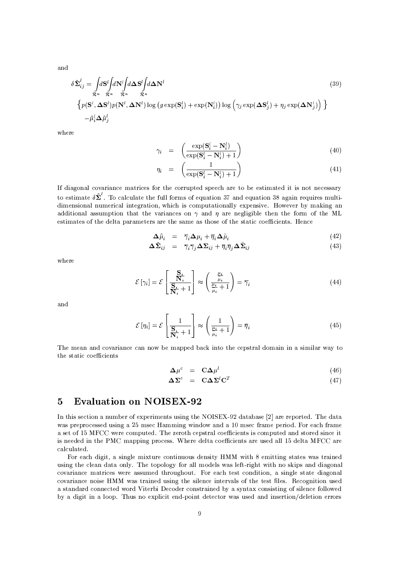and

$$
\delta \hat{\Sigma}_{ij}^{l} = \int_{\mathcal{R}^{n}} d\mathbf{S}^{l} \int d\mathbf{N}^{l} \int d\mathbf{\Delta} \mathbf{S}^{l} \int d\mathbf{\Delta} \mathbf{N}^{l}
$$
\n
$$
\left\{ p(\mathbf{S}^{l}, \mathbf{\Delta} \mathbf{S}^{l}) p(\mathbf{N}^{l}, \mathbf{\Delta} \mathbf{N}^{l}) \log (g \exp(\mathbf{S}_{i}^{l}) + \exp(\mathbf{N}_{i}^{l})) \log (\gamma_{j} \exp(\mathbf{\Delta} \mathbf{S}_{j}^{l}) + \eta_{j} \exp(\mathbf{\Delta} \mathbf{N}_{j}^{l}) \right) \right\}
$$
\n
$$
- \hat{\mu}_{i}^{l} \Delta \hat{\mu}_{j}^{l}
$$
\n(39)

where

$$
\gamma_i = \left( \frac{\exp(\mathbf{S}_i^l - \mathbf{N}_i^l)}{\exp(\mathbf{S}_i^l - \mathbf{N}_i^l) + 1} \right) \tag{40}
$$

$$
\eta_i = \left(\frac{1}{\exp(\mathbf{S}_i^l - \mathbf{N}_i^l) + 1}\right) \tag{41}
$$

to estimate  $\delta \hat{\Sigma}^{\prime}$ . To calculate the full forms of equation 37 and equation 38 again requires multi-If diagonal covariance matrices for the corrupted speech are to be estimated it is not necessary dimensional numerical integration, which is computationally expensive. However by making an additional assumption that the variances on  $\gamma$  and  $n$  are negligible then the form of the ML estimates of the delta parameters are the same as those of the static coefficients. Hence

$$
\Delta \hat{\mu}_i = \overline{\gamma}_i \Delta \mu_i + \overline{\eta}_i \Delta \tilde{\mu}_i \tag{42}
$$

$$
\Delta \hat{\Sigma}_{ij} = \overline{\gamma}_i \overline{\gamma}_j \Delta \Sigma_{ij} + \overline{\eta}_i \overline{\eta}_j \Delta \bar{\Sigma}_{ij}
$$
(43)

where

$$
\mathcal{E}[\gamma_i] = \mathcal{E}\left[\frac{\mathbf{S}_i}{\mathbf{S}_i + 1}\right] \approx \left(\frac{\frac{\mu_i}{\mu_i}}{\frac{\mu_i}{\mu_i} + 1}\right) = \overline{\gamma}_i
$$
\n(44)

and

$$
\mathcal{E}\left[\eta_i\right] = \mathcal{E}\left[\frac{1}{\frac{\mathbf{S}_i}{\mathbf{N}_i} + 1}\right] \approx \left(\frac{1}{\frac{\mu_i}{\mu_i} + 1}\right) = \overline{\eta}_i \tag{45}
$$

The mean and covariance can now be mapped back into the cepstral domain in a similar way to 6
O-6 (6-,/SOS4?
-MBS4,/
4?6-

$$
\Delta \mu^c = C \Delta \mu^l \tag{46}
$$

$$
\Delta \Sigma^c = C \Delta \Sigma^l C^T \qquad (47)
$$

### $\omega$  extending to the contract of the contract of the contract of the contract of the contract of the contract of the contract of the contract of the contract of the contract of the contract of the contract of the contrac

In this section a number of experiments using the NOISEX-92 database [2] are reported. The data was preprocessed using a 25 msec Hamming window and a 10 msec frame period. For each frame a set of 15 MFCC were computed. The zeroth cepstral coefficients is computed and stored since it is needed in the PMC mapping process. Where delta coefficients are used all 15 delta MFCC are calculated.

For each digit, a single mixture continuous density  ${\rm HMM}$  with 8 emitting states was trained using the clean data only. The topology for all models was left-right with no skips and diagonal covariance matrices were assumed throughout. For each test condition, a single state diagonal covariance noise HMM was trained using the silence intervals of the test files. Recognition used a standard connected word Viterbi Decoder constrained by a syntax consisting of silence followed )7T B.,/ ,6s, B/?>w1@ sa
)=?>/,/S4,/6O
4. 8> ,/6O.
464S6-+ F (s4.- .T,/5
4+-65, (.
4/
46-,/T
+-+- +-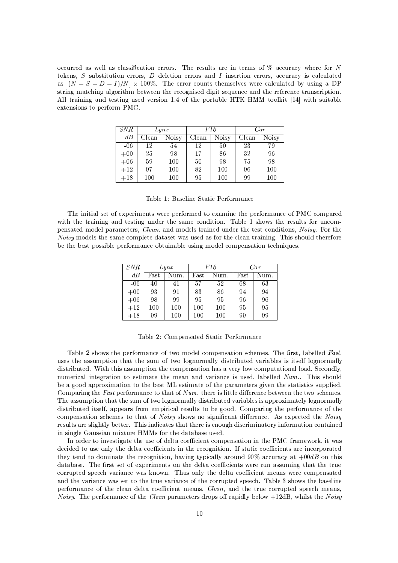occurred as well as classification errors. The results are in terms of  $\%$  accuracy where for N tokens,  $S$  substitution errors,  $D$  deletion errors and  $I$  insertion errors, accuracy is calculated as  $[(N - S - D - I)/N] \times 100\%$ . The error counts themselves were calculated by using a DP string matching algorithm between the recognised digit sequence and the reference transcription. All training and testing used version 1.4 of the portable HTK HMM toolkit [14] with suitable extensions to perform PMC.

| <i>SNR</i> | Lynx  |       | F16   |       | Car   |       |
|------------|-------|-------|-------|-------|-------|-------|
| dB         | Clean | Noisy | Clean | Noisy | Clean | Noisy |
| $-06$      | 12    | 54    | 12    | 50    | 23    | 79    |
| $+00$      | 25    | 98    | 17    | 86    | 32    | 96    |
| $+06$      | 59    | 100   | 50    | 98    | 75    | 98    |
| $+12$      | 97    | 100   | 82    | 100   | 96    | 100   |
| $+18$      | 100   | 100   | 95    | 100   | 99    | 100   |

Table 1: Baseline Static Performance

The initial set of experiments were performed to examine the performance of PMC compared with the training and testing under the same condition. Table 1 shows the results for uncompensated model parameters, Clean, and models trained under the test conditions, Noisy. For the Noisy models the same complete dataset was used as for the clean training. This should therefore be the best possible performance obtainable using model compensation techniques.

| <i>SNR</i> | Lynx |      | F16  |      | Car  |      |
|------------|------|------|------|------|------|------|
| dB         | Fast | Num. | Fast | Num. | Fast | Num. |
| $-06$      | 40   | 41   | 57   | 52   | 68   | 63   |
| $+00$      | 93   | 91   | 83   | 86   | 94   | 94   |
| $+06$      | 98   | 99   | 95   | 95   | 96   | 96   |
| $+12$      | 100  | 100  | 100  | 100  | 95   | 95   |
| $+18$      | 99   | 100  | 100  | 100  | 99   | 99   |

Table 2: Compensated Static Performance

Table 2 shows the performance of two model compensation schemes. The first, labelled Fast, uses the assumption that the sum of two lognormally distributed variables is itself lognormally distributed. With this assumption the compensation has a very low computational load. Secondly, numerical integration to estimate the mean and variance is used, labelled Num.. This should be a good approximation to the best ML estimate of the parameters given the statistics supplied. Comparing the Fast performance to that of  $Num$ , there is little difference between the two schemes. The assumption that the sum of two lognormally distributed variables is approximately lognormally distributed itself, appears from empirical results to be good. Comparing the performance of the compensation schemes to that of Noisy shows no significant difference. As expected the Noisy results are slightly better. This indicates that there is enough discriminatory information contained in single Gaussian mixture HMMs for the database used.

In order to investigate the use of delta coefficient compensation in the PMC framework, it was decided to use only the delta coefficients in the recognition. If static coefficients are incorporated they tend to dominate the recognition, having typically around 90% accuracy at  $+00dB$  on this database. The first set of experiments on the delta coefficients were run assuming that the true corrupted speech variance was known. Thus only the delta coefficient means were compensated and the variance was set to the true variance of the corrupted speech. Table 3 shows the baseline performance of the clean delta coefficient means, *Clean*, and the true corrupted speech means, *Noisy.* The performance of the *Clean* parameters drops off rapidly below +12dB, whilst the *Noisy*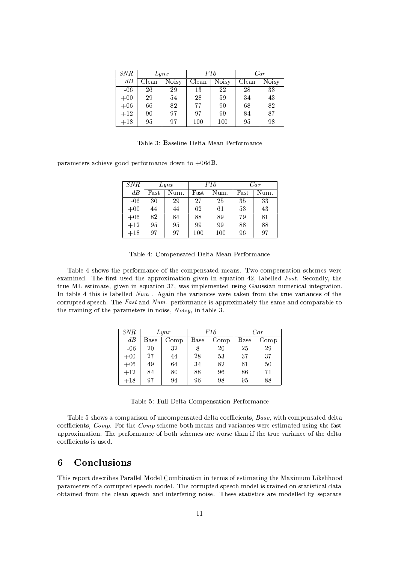| <i>SNR</i> | Lynx  |              | F16   |       | Car   |       |
|------------|-------|--------------|-------|-------|-------|-------|
| dB         | Clean | <b>Noisy</b> | Clean | Noisy | Clean | Noisy |
| $-06$      | 26    | 29           | 13    | 22    | 28    | 33    |
| $+00$      | 29    | 54           | 28    | 59    | 34    | 43    |
| $+06$      | 66    | 82           | 77    | 90    | 68    | 82    |
| $+12$      | 90    | 97           | 97    | 99    | 84    | 87    |
| $+18$      | 95    | 97           | 100   | 100   | 95    | 98    |

Table 3: Baseline Delta Mean Performance

parameters achieve good performance down to  $+06$ dB.

| <i>SNR</i> | Lynx |      | F16  |      | Car  |      |
|------------|------|------|------|------|------|------|
| dB         | Fast | Num. | Fast | Num. | Fast | Num. |
| $-06$      | 30   | 29   | 27   | 25   | 35   | 33   |
| $+00$      | 44   | 44   | 62   | 61   | 53   | 43   |
| $+06$      | 82   | 84   | 88   | 89   | 79   | 81   |
| $+12$      | 95   | 95   | 99   | 99   | 88   | 88   |
| $+18$      | 97   | 97   | 100  | 100  | 96   | 97   |

Table 4 shows the performance of the compensated means. Two compensation schemes were examined. The first used the approximation given in equation 42, labelled Fast. Secondly, the true ML estimate, given in equation 37, was implemented using Gaussian numerical integration. In table 4 this is labelled Num.. Again the variances were taken from the true variances of the corrupted speech. The Fast and Num, performance is approximately the same and comparable to the training of the parameters in noise, Noisy, in table 3.

| SNR   | Lynx |      | F16  |      | Car  |      |
|-------|------|------|------|------|------|------|
| dB    | Base | Comp | Base | Comp | Base | Comp |
| $-06$ | 20   | 32   | 8    | 20   | 25   | 29   |
| $+00$ | 27   | 44   | 28   | 53   | 37   | 37   |
| $+06$ | 49   | 64   | 34   | 82   | 61   | 50   |
| $+12$ | 84   | 80   | 88   | 96   | 86   | 71   |
| $+18$ | 97   | 94   | 96   | 98   | 95   | 88   |

Table 5: Full Delta Compensation Performance

Table 5 shows a comparison of uncompensated delta coefficients, Base, with compensated delta coefficients, Comp. For the Comp scheme both means and variances were estimated using the fast approximation. The performance of both schemes are worse than if the true variance of the delta coefficients is used.

#### Conclusions 6

This report describes Parallel Model Combination in terms of estimating the Maximum Likelihood parameters of a corrupted speech model. The corrupted speech model is trained on statistical data obtained from the clean speech and interfering noise. These statistics are modelled by separate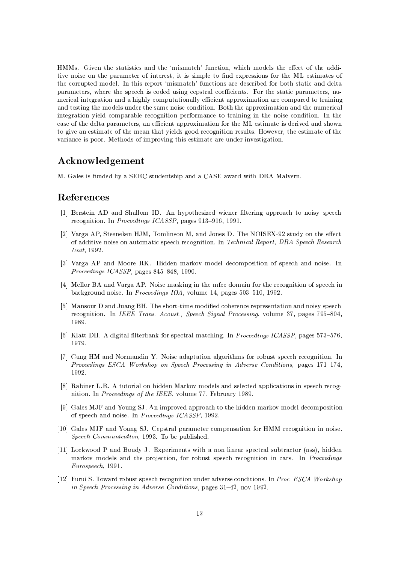HMMs. Given the statistics and the 'mismatch' function, which models the effect of the additive noise on the parameter of interest, it is simple to find expressions for the ML estimates of the corrupted model. In this report 'mismatch' functions are described for both static and delta parameters, where the speech is coded using cepstral coefficients. For the static parameters, numerical integration and a highly computationally efficient approximation are compared to training and testing the models under the same noise condition. Both the approximation and the numerical integration yield comparable recognition performance to training in the noise condition. In the case of the delta parameters, an efficient approximation for the ML estimate is derived and shown to give an estimate of the mean that yields good recognition results. However, the estimate of the variance is poor. Methods of improving this estimate are under investigation.

## Acknowledgement

M. Gales is funded by a SERC studentship and a CASE award with DRA Malvern.

### References

- [1] Berstein AD and Shallom ID. An hypothesized wiener filtering approach to noisy speech recognition. In *Proceedings ICASSP*, pages 913-916, 1991.
- [2] Varga AP, Steeneken HJM, Tomlinson M, and Jones D. The NOISEX-92 study on the effect of additive noise on automatic speech recognition. In Technical Report, DRA Speech Research Unit, 1992.
- [3] Varga AP and Moore RK. Hidden markov model decomposition of speech and noise. In Proceedings ICASSP, pages 845-848, 1990.
- [4] Mellor BA and Varga AP. Noise masking in the mfcc domain for the recognition of speech in background noise. In Proceedings IOA, volume 14, pages 503-510, 1992.
- [5] Mansour D and Juang BH. The short-time modified coherence representation and noisy speech recognition. In IEEE Trans. Acoust., Speech Signal Processing, volume 37, pages 795-804, 1989.
- [6] Klatt DH. A digital filterbank for spectral matching. In *Proceedings ICASSP*, pages 573-576, 1979.
- [7] Cung HM and Normandin Y. Noise adaptation algorithms for robust speech recognition. In Proceedings ESCA Workshop on Speech Processing in Adverse Conditions, pages 171-174, 1992.
- [8] Rabiner L.R. A tutorial on hidden Markov models and selected applications in speech recognition. In *Proceedings of the IEEE*, volume 77, February 1989.
- [9] Gales MJF and Young SJ. An improved approach to the hidden markov model decomposition of speech and noise. In Proceedings ICASSP, 1992.
- [10] Gales MJF and Young SJ. Cepstral parameter compensation for HMM recognition in noise. Speech Communication, 1993. To be published.
- [11] Lockwood P and Boudy J. Experiments with a non linear spectral subtractor (nss), hidden markov models and the projection, for robust speech recognition in cars. In Proceedings Eurospeech, 1991.
- [12] Furui S. Toward robust speech recognition under adverse conditions. In Proc. ESCA Workshop in Speech Processing in Adverse Conditions, pages 31–42, nov 1992.